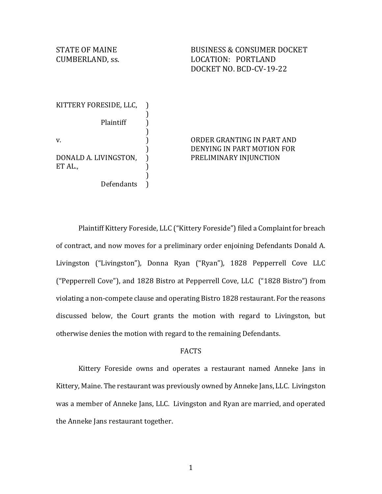STATE OF MAINE **BUSINESS & CONSUMER DOCKET** CUMBERLAND, ss. LOCATION: PORTLAND DOCKET NO. BCD-CV-19-22

KITTERY FORESIDE, LLC, Plaintiff v. DONALD A. LIVINGSTON, ET AL., )

Defendants

) )

)<br>)

) ) ) ) )

# ) ORDER GRANTING IN PART AND DENYING IN PART MOTION FOR PRELIMINARY INJUNCTION

Plaintiff Kittery Foreside, LLC ("Kittery Foreside") filed a Complaint for breach of contract, and now moves for a preliminary order enjoining Defendants Donald A. Livingston ("Livingston"), Donna Ryan ("Ryan"), 1828 Pepperrell Cove LLC ("Pepperrell Cove"), and 1828 Bistro at Pepperrell Cove, LLC ("1828 Bistro") from violating a non-compete clause and operating Bistro 1828 restaurant. For the reasons discussed below, the Court grants the motion with regard to Livingston, but otherwise denies the motion with regard to the remaining Defendants.

# FACTS

Kittery Foreside owns and operates a restaurant named Anneke Jans in Kittery, Maine. The restaurant was previously owned by Anneke Jans, LLC. Livingston was a member of Anneke Jans, LLC. Livingston and Ryan are married, and operated the Anneke Jans restaurant together.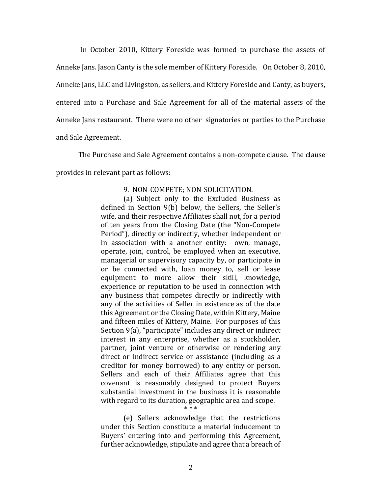In October 2010, Kittery Foreside was formed to purchase the assets of Anneke Jans. Jason Canty is the sole member of Kittery Foreside. On October 8, 2010, Anneke Jans, LLC and Livingston, as sellers, and Kittery Foreside and Canty, as buyers, entered into a Purchase and Sale Agreement for all of the material assets of the Anneke Jans restaurant. There were no other signatories or parties to the Purchase and Sale Agreement.

The Purchase and Sale Agreement contains a non-compete clause. The clause provides in relevant part as follows:

## 9. NON-COMPETE; NON-SOLICITATION.

(a) Subject only to the Excluded Business as defined in Section 9(b) below, the Sellers, the Seller's wife, and their respective Affiliates shall not, for a period of ten years from the Closing Date (the "Non-Compete Period"), directly or indirectly, whether independent or in association with a another entity: own, manage, operate, join, control, be employed when an executive, managerial or supervisory capacity by, or participate in or be connected with, loan money to, sell or lease equipment to more allow their skill, knowledge, experience or reputation to be used in connection with any business that competes directly or indirectly with any of the activities of Seller in existence as of the date this Agreement or the Closing Date, within Kittery, Maine and fifteen miles of Kittery, Maine. For purposes of this Section 9(a), "participate" includes any direct or indirect interest in any enterprise, whether as a stockholder, partner, joint venture or otherwise or rendering any direct or indirect service or assistance (including as a creditor for money borrowed) to any entity or person. Sellers and each of their Affiliates agree that this covenant is reasonably designed to protect Buyers substantial investment in the business it is reasonable with regard to its duration, geographic area and scope. \* \* \*

(e) Sellers acknowledge that the restrictions under this Section constitute a material inducement to Buyers' entering into and performing this Agreement, further acknowledge, stipulate and agree that a breach of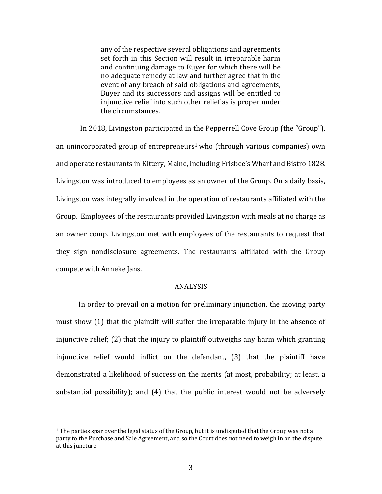any of the respective several obligations and agreements set forth in this Section will result in irreparable harm and continuing damage to Buyer for which there will be no adequate remedy at law and further agree that in the event of any breach of said obligations and agreements, Buyer and its successors and assigns will be entitled to injunctive relief into such other relief as is proper under the circumstances.

 In 2018, Livingston participated in the Pepperrell Cove Group (the "Group"), an unincorporated group of entrepreneurs<sup>1</sup> who (through various companies) own and operate restaurants in Kittery, Maine, including Frisbee's Wharf and Bistro 1828. Livingston was introduced to employees as an owner of the Group. On a daily basis, Livingston was integrally involved in the operation of restaurants affiliated with the Group. Employees of the restaurants provided Livingston with meals at no charge as an owner comp. Livingston met with employees of the restaurants to request that they sign nondisclosure agreements. The restaurants affiliated with the Group compete with Anneke Jans.

### ANALYSIS

 In order to prevail on a motion for preliminary injunction, the moving party must show (1) that the plaintiff will suffer the irreparable injury in the absence of injunctive relief; (2) that the injury to plaintiff outweighs any harm which granting injunctive relief would inflict on the defendant, (3) that the plaintiff have demonstrated a likelihood of success on the merits (at most, probability; at least, a substantial possibility); and (4) that the public interest would not be adversely

 $\overline{a}$ 

 $1$  The parties spar over the legal status of the Group, but it is undisputed that the Group was not a party to the Purchase and Sale Agreement, and so the Court does not need to weigh in on the dispute at this juncture.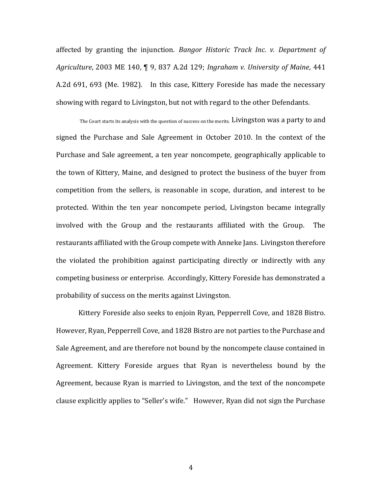affected by granting the injunction. *Bangor Historic Track Inc. v. Department of Agriculture*, 2003 ME 140, ¶ 9, 837 A.2d 129; *Ingraham v. University of Maine*, 441 A.2d 691, 693 (Me. 1982). In this case, Kittery Foreside has made the necessary showing with regard to Livingston, but not with regard to the other Defendants.

The Court starts its analysis with the question of success on the merits. Livingston was a party to and signed the Purchase and Sale Agreement in October 2010. In the context of the Purchase and Sale agreement, a ten year noncompete, geographically applicable to the town of Kittery, Maine, and designed to protect the business of the buyer from competition from the sellers, is reasonable in scope, duration, and interest to be protected. Within the ten year noncompete period, Livingston became integrally involved with the Group and the restaurants affiliated with the Group. The restaurants affiliated with the Group compete with Anneke Jans. Livingston therefore the violated the prohibition against participating directly or indirectly with any competing business or enterprise. Accordingly, Kittery Foreside has demonstrated a probability of success on the merits against Livingston.

Kittery Foreside also seeks to enjoin Ryan, Pepperrell Cove, and 1828 Bistro. However, Ryan, Pepperrell Cove, and 1828 Bistro are not parties to the Purchase and Sale Agreement, and are therefore not bound by the noncompete clause contained in Agreement. Kittery Foreside argues that Ryan is nevertheless bound by the Agreement, because Ryan is married to Livingston, and the text of the noncompete clause explicitly applies to "Seller's wife." However, Ryan did not sign the Purchase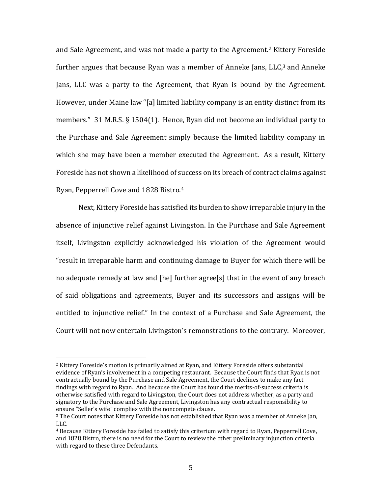and Sale Agreement, and was not made a party to the Agreement.<sup>2</sup> Kittery Foreside further argues that because Ryan was a member of Anneke Jans,  $LLC<sub>1</sub>$ <sup>3</sup> and Anneke Jans, LLC was a party to the Agreement, that Ryan is bound by the Agreement. However, under Maine law "[a] limited liability company is an entity distinct from its members." 31 M.R.S. § 1504(1). Hence, Ryan did not become an individual party to the Purchase and Sale Agreement simply because the limited liability company in which she may have been a member executed the Agreement. As a result, Kittery Foreside has not shown a likelihood of success on its breach of contract claims against Ryan, Pepperrell Cove and 1828 Bistro.<sup>4</sup>

Next, Kittery Foreside has satisfied its burden to show irreparable injury in the absence of injunctive relief against Livingston. In the Purchase and Sale Agreement itself, Livingston explicitly acknowledged his violation of the Agreement would "result in irreparable harm and continuing damage to Buyer for which there will be no adequate remedy at law and [he] further agree[s] that in the event of any breach of said obligations and agreements, Buyer and its successors and assigns will be entitled to injunctive relief." In the context of a Purchase and Sale Agreement, the Court will not now entertain Livingston's remonstrations to the contrary. Moreover,

 $\overline{a}$ 

<sup>2</sup> Kittery Foreside's motion is primarily aimed at Ryan, and Kittery Foreside offers substantial evidence of Ryan's involvement in a competing restaurant. Because the Court finds that Ryan is not contractually bound by the Purchase and Sale Agreement, the Court declines to make any fact findings with regard to Ryan. And because the Court has found the merits-of-success criteria is otherwise satisfied with regard to Livingston, the Court does not address whether, as a party and signatory to the Purchase and Sale Agreement, Livingston has any contractual responsibility to ensure "Seller's wife" complies with the noncompete clause.

<sup>&</sup>lt;sup>3</sup> The Court notes that Kittery Foreside has not established that Ryan was a member of Anneke Jan, LLC.

<sup>4</sup> Because Kittery Foreside has failed to satisfy this criterium with regard to Ryan, Pepperrell Cove, and 1828 Bistro, there is no need for the Court to review the other preliminary injunction criteria with regard to these three Defendants.